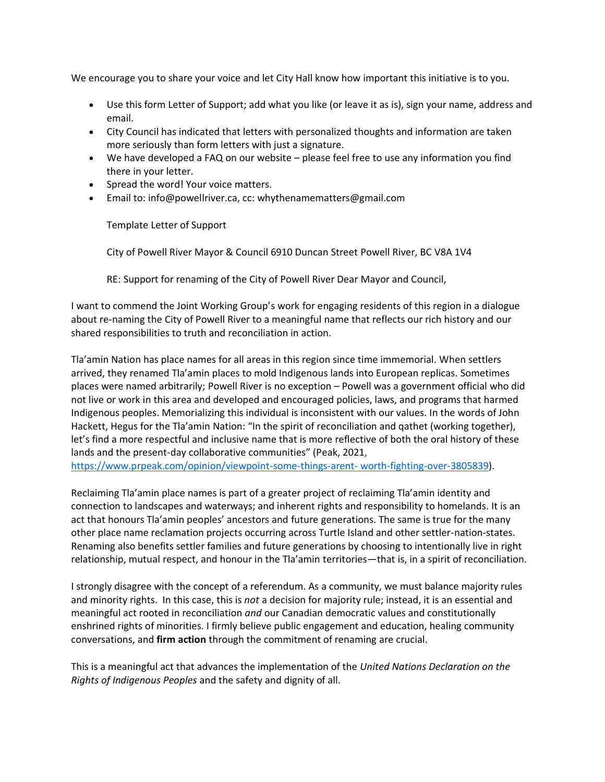We encourage you to share your voice and let City Hall know how important this initiative is to you.

- Use this form Letter of Support; add what you like (or leave it as is), sign your name, address and email.
- City Council has indicated that letters with personalized thoughts and information are taken more seriously than form letters with just a signature.
- We have developed a FAQ on our website please feel free to use any information you find there in your letter.
- Spread the word! Your voice matters.
- Email to: info@powellriver.ca, cc: whythenamematters@gmail.com

Template Letter of Support

City of Powell River Mayor & Council 6910 Duncan Street Powell River, BC V8A 1V4

RE: Support for renaming of the City of Powell River Dear Mayor and Council,

I want to commend the Joint Working Group's work for engaging residents of this region in a dialogue about re-naming the City of Powell River to a meaningful name that reflects our rich history and our shared responsibilities to truth and reconciliation in action.

Tla'amin Nation has place names for all areas in this region since time immemorial. When settlers arrived, they renamed Tla'amin places to mold Indigenous lands into European replicas. Sometimes places were named arbitrarily; Powell River is no exception – Powell was a government official who did not live or work in this area and developed and encouraged policies, laws, and programs that harmed Indigenous peoples. Memorializing this individual is inconsistent with our values. In the words of John Hackett, Hegus for the Tla'amin Nation: "In the spirit of reconciliation and qathet (working together), let's find a more respectful and inclusive name that is more reflective of both the oral history of these lands and the present-day collaborative communities" (Peak, 2021,

[https://www.prpeak.com/opinion/viewpoint-some-things-arent-](https://www.prpeak.com/opinion/viewpoint-some-things-arent-%20worth-fighting-over-3805839) worth-fighting-over-3805839).

Reclaiming Tla'amin place names is part of a greater project of reclaiming Tla'amin identity and connection to landscapes and waterways; and inherent rights and responsibility to homelands. It is an act that honours Tla'amin peoples' ancestors and future generations. The same is true for the many other place name reclamation projects occurring across Turtle Island and other settler-nation-states. Renaming also benefits settler families and future generations by choosing to intentionally live in right relationship, mutual respect, and honour in the Tla'amin territories—that is, in a spirit of reconciliation.

I strongly disagree with the concept of a referendum. As a community, we must balance majority rules and minority rights. In this case, this is *not* a decision for majority rule; instead, it is an essential and meaningful act rooted in reconciliation *and* our Canadian democratic values and constitutionally enshrined rights of minorities. I firmly believe public engagement and education, healing community conversations, and **firm action** through the commitment of renaming are crucial.

This is a meaningful act that advances the implementation of the *United Nations Declaration on the Rights of Indigenous Peoples* and the safety and dignity of all.